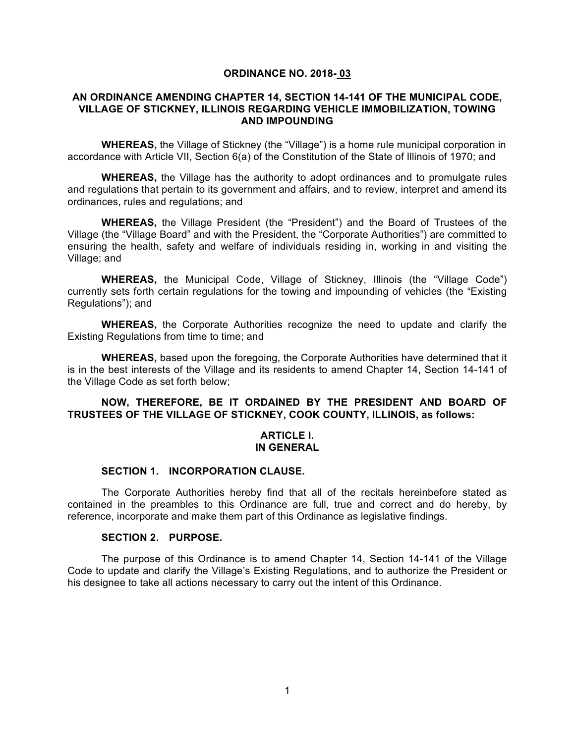### **ORDINANCE NO. 2018- 03**

## **AN ORDINANCE AMENDING CHAPTER 14, SECTION 14-141 OF THE MUNICIPAL CODE, VILLAGE OF STICKNEY, ILLINOIS REGARDING VEHICLE IMMOBILIZATION, TOWING AND IMPOUNDING**

**WHEREAS,** the Village of Stickney (the "Village") is a home rule municipal corporation in accordance with Article VII, Section 6(a) of the Constitution of the State of Illinois of 1970; and

**WHEREAS,** the Village has the authority to adopt ordinances and to promulgate rules and regulations that pertain to its government and affairs, and to review, interpret and amend its ordinances, rules and regulations; and

**WHEREAS,** the Village President (the "President") and the Board of Trustees of the Village (the "Village Board" and with the President, the "Corporate Authorities") are committed to ensuring the health, safety and welfare of individuals residing in, working in and visiting the Village; and

**WHEREAS,** the Municipal Code, Village of Stickney, Illinois (the "Village Code") currently sets forth certain regulations for the towing and impounding of vehicles (the "Existing Regulations"); and

**WHEREAS,** the Corporate Authorities recognize the need to update and clarify the Existing Regulations from time to time; and

**WHEREAS,** based upon the foregoing, the Corporate Authorities have determined that it is in the best interests of the Village and its residents to amend Chapter 14, Section 14-141 of the Village Code as set forth below;

## **NOW, THEREFORE, BE IT ORDAINED BY THE PRESIDENT AND BOARD OF TRUSTEES OF THE VILLAGE OF STICKNEY, COOK COUNTY, ILLINOIS, as follows:**

### **ARTICLE I. IN GENERAL**

### **SECTION 1. INCORPORATION CLAUSE.**

The Corporate Authorities hereby find that all of the recitals hereinbefore stated as contained in the preambles to this Ordinance are full, true and correct and do hereby, by reference, incorporate and make them part of this Ordinance as legislative findings.

# **SECTION 2. PURPOSE.**

The purpose of this Ordinance is to amend Chapter 14, Section 14-141 of the Village Code to update and clarify the Village's Existing Regulations, and to authorize the President or his designee to take all actions necessary to carry out the intent of this Ordinance.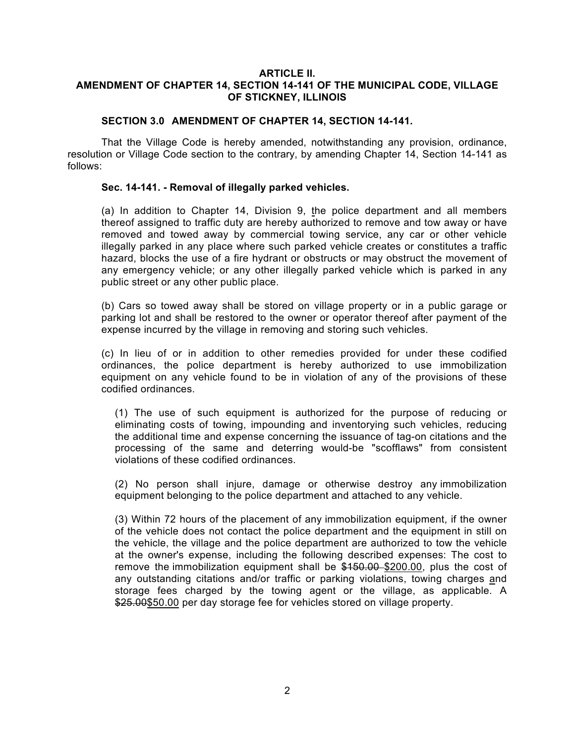## **ARTICLE II. AMENDMENT OF CHAPTER 14, SECTION 14-141 OF THE MUNICIPAL CODE, VILLAGE OF STICKNEY, ILLINOIS**

## **SECTION 3.0 AMENDMENT OF CHAPTER 14, SECTION 14-141.**

That the Village Code is hereby amended, notwithstanding any provision, ordinance, resolution or Village Code section to the contrary, by amending Chapter 14, Section 14-141 as follows:

## **Sec. 14-141. - Removal of illegally parked vehicles.**

(a) In addition to Chapter 14, Division 9, the police department and all members thereof assigned to traffic duty are hereby authorized to remove and tow away or have removed and towed away by commercial towing service, any car or other vehicle illegally parked in any place where such parked vehicle creates or constitutes a traffic hazard, blocks the use of a fire hydrant or obstructs or may obstruct the movement of any emergency vehicle; or any other illegally parked vehicle which is parked in any public street or any other public place.

(b) Cars so towed away shall be stored on village property or in a public garage or parking lot and shall be restored to the owner or operator thereof after payment of the expense incurred by the village in removing and storing such vehicles.

(c) In lieu of or in addition to other remedies provided for under these codified ordinances, the police department is hereby authorized to use immobilization equipment on any vehicle found to be in violation of any of the provisions of these codified ordinances.

(1) The use of such equipment is authorized for the purpose of reducing or eliminating costs of towing, impounding and inventorying such vehicles, reducing the additional time and expense concerning the issuance of tag-on citations and the processing of the same and deterring would-be "scofflaws" from consistent violations of these codified ordinances.

(2) No person shall injure, damage or otherwise destroy any immobilization equipment belonging to the police department and attached to any vehicle.

(3) Within 72 hours of the placement of any immobilization equipment, if the owner of the vehicle does not contact the police department and the equipment in still on the vehicle, the village and the police department are authorized to tow the vehicle at the owner's expense, including the following described expenses: The cost to remove the immobilization equipment shall be  $$150.00$  \$200.00, plus the cost of any outstanding citations and/or traffic or parking violations, towing charges and storage fees charged by the towing agent or the village, as applicable. A \$25.00\$50.00 per day storage fee for vehicles stored on village property.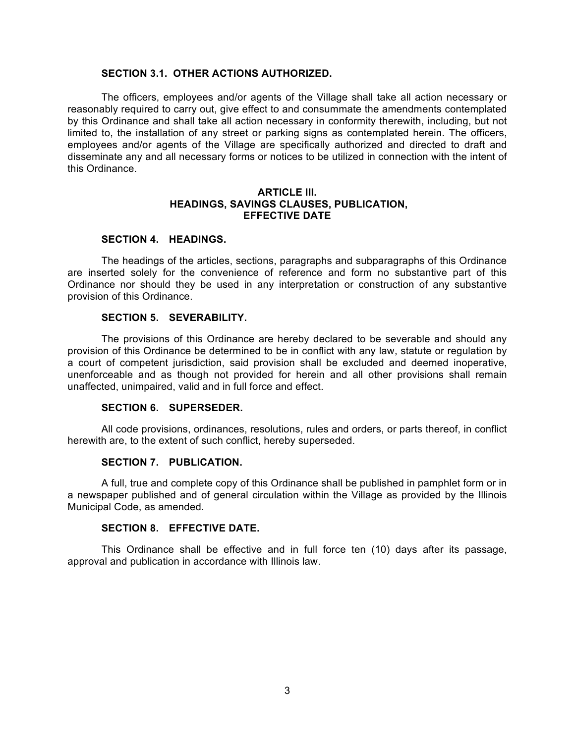### **SECTION 3.1. OTHER ACTIONS AUTHORIZED.**

The officers, employees and/or agents of the Village shall take all action necessary or reasonably required to carry out, give effect to and consummate the amendments contemplated by this Ordinance and shall take all action necessary in conformity therewith, including, but not limited to, the installation of any street or parking signs as contemplated herein. The officers, employees and/or agents of the Village are specifically authorized and directed to draft and disseminate any and all necessary forms or notices to be utilized in connection with the intent of this Ordinance.

## **ARTICLE III. HEADINGS, SAVINGS CLAUSES, PUBLICATION, EFFECTIVE DATE**

## **SECTION 4. HEADINGS.**

The headings of the articles, sections, paragraphs and subparagraphs of this Ordinance are inserted solely for the convenience of reference and form no substantive part of this Ordinance nor should they be used in any interpretation or construction of any substantive provision of this Ordinance.

### **SECTION 5. SEVERABILITY.**

The provisions of this Ordinance are hereby declared to be severable and should any provision of this Ordinance be determined to be in conflict with any law, statute or regulation by a court of competent jurisdiction, said provision shall be excluded and deemed inoperative, unenforceable and as though not provided for herein and all other provisions shall remain unaffected, unimpaired, valid and in full force and effect.

#### **SECTION 6. SUPERSEDER.**

All code provisions, ordinances, resolutions, rules and orders, or parts thereof, in conflict herewith are, to the extent of such conflict, hereby superseded.

#### **SECTION 7. PUBLICATION.**

A full, true and complete copy of this Ordinance shall be published in pamphlet form or in a newspaper published and of general circulation within the Village as provided by the Illinois Municipal Code, as amended.

#### **SECTION 8. EFFECTIVE DATE.**

This Ordinance shall be effective and in full force ten (10) days after its passage, approval and publication in accordance with Illinois law.